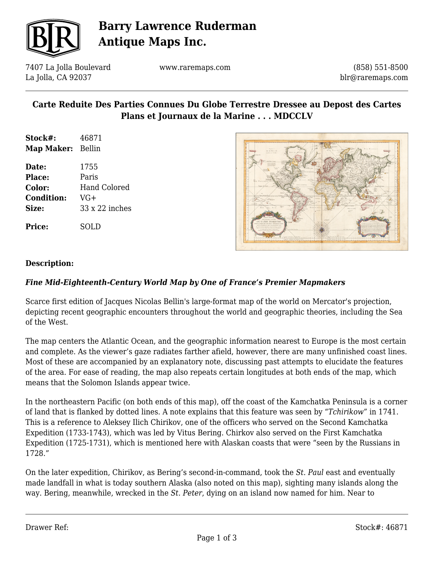

## **Barry Lawrence Ruderman Antique Maps Inc.**

7407 La Jolla Boulevard La Jolla, CA 92037

www.raremaps.com

(858) 551-8500 blr@raremaps.com

### **Carte Reduite Des Parties Connues Du Globe Terrestre Dressee au Depost des Cartes Plans et Journaux de la Marine . . . MDCCLV**

- **Stock#:** 46871 **Map Maker:** Bellin
- **Date:** 1755 **Place:** Paris **Color:** Hand Colored **Condition:** VG+ **Size:** 33 x 22 inches

**Price:** SOLD



#### **Description:**

#### *Fine Mid-Eighteenth-Century World Map by One of France's Premier Mapmakers*

Scarce first edition of Jacques Nicolas Bellin's large-format map of the world on Mercator's projection, depicting recent geographic encounters throughout the world and geographic theories, including the Sea of the West.

The map centers the Atlantic Ocean, and the geographic information nearest to Europe is the most certain and complete. As the viewer's gaze radiates farther afield, however, there are many unfinished coast lines. Most of these are accompanied by an explanatory note, discussing past attempts to elucidate the features of the area. For ease of reading, the map also repeats certain longitudes at both ends of the map, which means that the Solomon Islands appear twice.

In the northeastern Pacific (on both ends of this map), off the coast of the Kamchatka Peninsula is a corner of land that is flanked by dotted lines. A note explains that this feature was seen by "*Tchirikow*" in 1741. This is a reference to Aleksey Ilich Chirikov, one of the officers who served on the Second Kamchatka Expedition (1733-1743), which was led by Vitus Bering. Chirkov also served on the First Kamchatka Expedition (1725-1731), which is mentioned here with Alaskan coasts that were "seen by the Russians in 1728."

On the later expedition, Chirikov, as Bering's second-in-command, took the *St. Paul* east and eventually made landfall in what is today southern Alaska (also noted on this map), sighting many islands along the way. Bering, meanwhile, wrecked in the *St. Peter*, dying on an island now named for him. Near to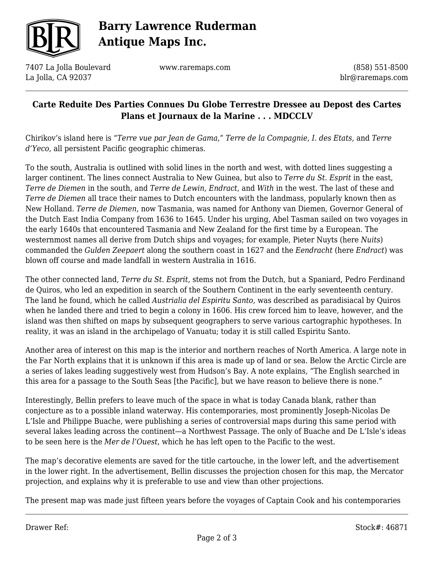

# **Barry Lawrence Ruderman Antique Maps Inc.**

7407 La Jolla Boulevard La Jolla, CA 92037

www.raremaps.com

(858) 551-8500 blr@raremaps.com

### **Carte Reduite Des Parties Connues Du Globe Terrestre Dressee au Depost des Cartes Plans et Journaux de la Marine . . . MDCCLV**

Chirikov's island here is "*Terre vue par Jean de Gama*," *Terre de la Compagnie, I. des Etats*, and *Terre d'Yeco*, all persistent Pacific geographic chimeras.

To the south, Australia is outlined with solid lines in the north and west, with dotted lines suggesting a larger continent. The lines connect Australia to New Guinea, but also to *Terre du St. Esprit* in the east, *Terre de Diemen* in the south, and *Terre de Lewin, Endract*, and *With* in the west. The last of these and *Terre de Diemen* all trace their names to Dutch encounters with the landmass, popularly known then as New Holland. *Terre de Diemen*, now Tasmania, was named for Anthony van Diemen, Governor General of the Dutch East India Company from 1636 to 1645. Under his urging, Abel Tasman sailed on two voyages in the early 1640s that encountered Tasmania and New Zealand for the first time by a European. The westernmost names all derive from Dutch ships and voyages; for example, Pieter Nuyts (here *Nuits*) commanded the *Gulden Zeepaert* along the southern coast in 1627 and the *Eendracht* (here *Endract*) was blown off course and made landfall in western Australia in 1616.

The other connected land, *Terre du St. Esprit*, stems not from the Dutch, but a Spaniard, Pedro Ferdinand de Quiros, who led an expedition in search of the Southern Continent in the early seventeenth century. The land he found, which he called *Austrialia del Espiritu Santo,* was described as paradisiacal by Quiros when he landed there and tried to begin a colony in 1606. His crew forced him to leave, however, and the island was then shifted on maps by subsequent geographers to serve various cartographic hypotheses. In reality, it was an island in the archipelago of Vanuatu; today it is still called Espiritu Santo.

Another area of interest on this map is the interior and northern reaches of North America. A large note in the Far North explains that it is unknown if this area is made up of land or sea. Below the Arctic Circle are a series of lakes leading suggestively west from Hudson's Bay. A note explains, "The English searched in this area for a passage to the South Seas [the Pacific], but we have reason to believe there is none."

Interestingly, Bellin prefers to leave much of the space in what is today Canada blank, rather than conjecture as to a possible inland waterway. His contemporaries, most prominently Joseph-Nicolas De L'Isle and Philippe Buache, were publishing a series of controversial maps during this same period with several lakes leading across the continent—a Northwest Passage. The only of Buache and De L'Isle's ideas to be seen here is the *Mer de l'Ouest*, which he has left open to the Pacific to the west.

The map's decorative elements are saved for the title cartouche, in the lower left, and the advertisement in the lower right. In the advertisement, Bellin discusses the projection chosen for this map, the Mercator projection, and explains why it is preferable to use and view than other projections.

The present map was made just fifteen years before the voyages of Captain Cook and his contemporaries